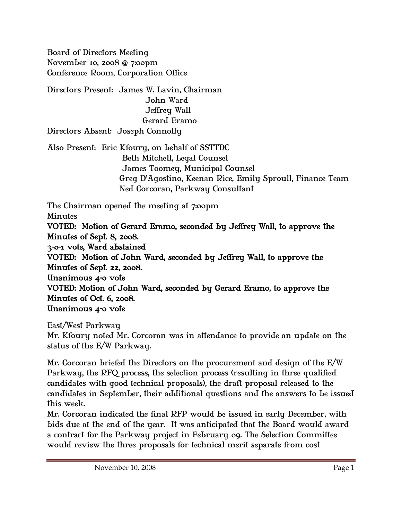Board of Directors Meeting November 10, 2008 @ 7:00pm Conference Room, Corporation Office

Directors Present: James W. Lavin, Chairman John Ward Jeffrey Wall Gerard Eramo

Directors Absent: Joseph Connolly

Also Present: Eric Kfoury, on behalf of SSTTDC Beth Mitchell, Legal Counsel James Toomey, Municipal Counsel Greg D'Agostino, Keenan Rice, Emily Sproull, Finance Team Ned Corcoran, Parkway Consultant

The Chairman opened the meeting at 7:00pm Minutes VOTED: Motion of Gerard Eramo, seconded by Jeffrey Wall, to approve the Minutes of Sept. 8, 2008. 3-0-1 vote, Ward abstained VOTED: Motion of John Ward, seconded by Jeffrey Wall, to approve the Minutes of Sept. 22, 2008. Unanimous 4-0 vote VOTED: Motion of John Ward, seconded by Gerard Eramo, to approve the Minutes of Oct. 6, 2008. Unanimous 4-0 vote

East/West Parkway Mr. Kfoury noted Mr. Corcoran was in attendance to provide an update on the status of the E/W Parkway.

Mr. Corcoran briefed the Directors on the procurement and design of the E/W Parkway, the RFQ process, the selection process (resulting in three qualified candidates with good technical proposals), the draft proposal released to the candidates in September, their additional questions and the answers to be issued this week.

Mr. Corcoran indicated the final RFP would be issued in early December, with bids due at the end of the year. It was anticipated that the Board would award a contract for the Parkway project in February 09. The Selection Committee would review the three proposals for technical merit separate from cost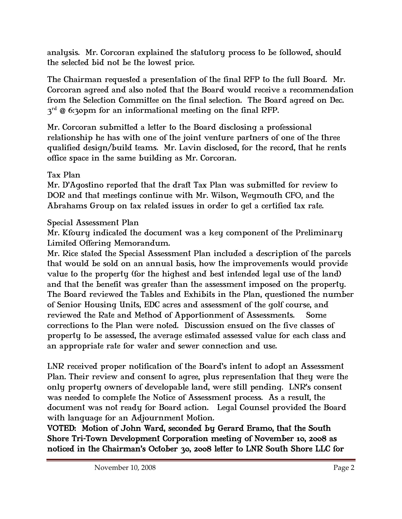analysis. Mr. Corcoran explained the statutory process to be followed, should the selected bid not be the lowest price.

The Chairman requested a presentation of the final RFP to the full Board. Mr. Corcoran agreed and also noted that the Board would receive a recommendation from the Selection Committee on the final selection. The Board agreed on Dec.  $3<sup>rd</sup>$  @ 6:30pm for an informational meeting on the final RFP.

Mr. Corcoran submitted a letter to the Board disclosing a professional relationship he has with one of the joint venture partners of one of the three qualified design/build teams. Mr. Lavin disclosed, for the record, that he rents office space in the same building as Mr. Corcoran.

## Tax Plan

Mr. D'Agostino reported that the draft Tax Plan was submitted for review to DOR and that meetings continue with Mr. Wilson, Weymouth CFO, and the Abrahams Group on tax related issues in order to get a certified tax rate.

## Special Assessment Plan

Mr. Kfoury indicated the document was a key component of the Preliminary Limited Offering Memorandum.

Mr. Rice stated the Special Assessment Plan included a description of the parcels that would be sold on an annual basis, how the improvements would provide value to the property (for the highest and best intended legal use of the land) and that the benefit was greater than the assessment imposed on the property. The Board reviewed the Tables and Exhibits in the Plan, questioned the number of Senior Housing Units, EDC acres and assessment of the golf course, and reviewed the Rate and Method of Apportionment of Assessments. Some corrections to the Plan were noted. Discussion ensued on the five classes of property to be assessed, the average estimated assessed value for each class and an appropriate rate for water and sewer connection and use.

LNR received proper notification of the Board's intent to adopt an Assessment Plan. Their review and consent to agree, plus representation that they were the only property owners of developable land, were still pending. LNR's consent was needed to complete the Notice of Assessment process. As a result, the document was not ready for Board action. Legal Counsel provided the Board with language for an Adjournment Motion.

VOTED: Motion of John Ward, seconded by Gerard Eramo, that the South Shore Tri-Town Development Corporation meeting of November 10, 2008 as noticed in the Chairman's October 30, 2008 letter to LNR South Shore LLC for